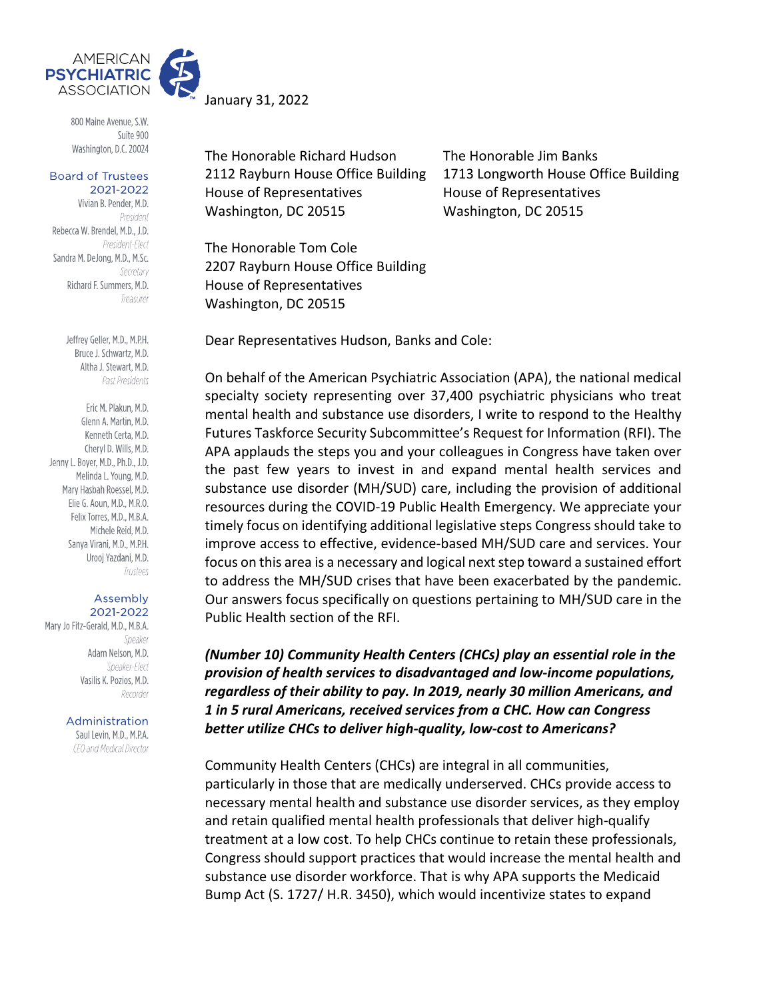

800 Maine Avenue, S.W. Suite 900 Washington, D.C. 20024

**Board of Trustees** 2021-2022

Vivian B. Pender, M.D. President Rebecca W. Brendel, M.D., J.D. President-Elect Sandra M. DeJong, M.D., M.Sc. Secretary Richard F. Summers, M.D. Treasurer

> Jeffrey Geller, M.D., M.P.H. Bruce J. Schwartz, M.D. Altha J. Stewart, M.D. Past Presidents

Eric M. Plakun, M.D. Glenn A. Martin, M.D. Kenneth Certa, M.D. Cheryl D. Wills, M.D. Jenny L. Boyer, M.D., Ph.D., J.D. Melinda L. Young, M.D. Mary Hasbah Roessel, M.D. Elie G. Aoun. M.D., M.R.O. Felix Torres, M.D., M.B.A. Michele Reid, M.D. Sanya Virani, M.D., M.P.H. Urooj Yazdani, M.D. Trustees

#### Assembly 2021-2022

Mary Jo Fitz-Gerald, M.D., M.B.A. Speaker Adam Nelson, M.D. Speaker-Flect Vasilis K. Pozios, M.D. Recorder

> Administration Saul Levin, M.D., M.P.A.

CEO and Medical Director

January 31, 2022

The Honorable Richard Hudson The Honorable Jim Banks House of Representatives House of Representatives Washington, DC 20515 Washington, DC 20515

2112 Rayburn House Office Building 1713 Longworth House Office Building

The Honorable Tom Cole 2207 Rayburn House Office Building House of Representatives Washington, DC 20515

Dear Representatives Hudson, Banks and Cole:

On behalf of the American Psychiatric Association (APA), the national medical specialty society representing over 37,400 psychiatric physicians who treat mental health and substance use disorders, I write to respond to the Healthy Futures Taskforce Security Subcommittee's Request for Information (RFI). The APA applauds the steps you and your colleagues in Congress have taken over the past few years to invest in and expand mental health services and substance use disorder (MH/SUD) care, including the provision of additional resources during the COVID-19 Public Health Emergency. We appreciate your timely focus on identifying additional legislative steps Congress should take to improve access to effective, evidence-based MH/SUD care and services. Your focus on this area is a necessary and logical next step toward a sustained effort to address the MH/SUD crises that have been exacerbated by the pandemic. Our answers focus specifically on questions pertaining to MH/SUD care in the Public Health section of the RFI.

*(Number 10) Community Health Centers (CHCs) play an essential role in the provision of health services to disadvantaged and low-income populations, regardless of their ability to pay. In 2019, nearly 30 million Americans, and 1 in 5 rural Americans, received services from a CHC. How can Congress better utilize CHCs to deliver high-quality, low-cost to Americans?* 

Community Health Centers (CHCs) are integral in all communities, particularly in those that are medically underserved. CHCs provide access to necessary mental health and substance use disorder services, as they employ and retain qualified mental health professionals that deliver high-qualify treatment at a low cost. To help CHCs continue to retain these professionals, Congress should support practices that would increase the mental health and substance use disorder workforce. That is why APA supports the Medicaid Bump Act (S. 1727/ H.R. 3450), which would incentivize states to expand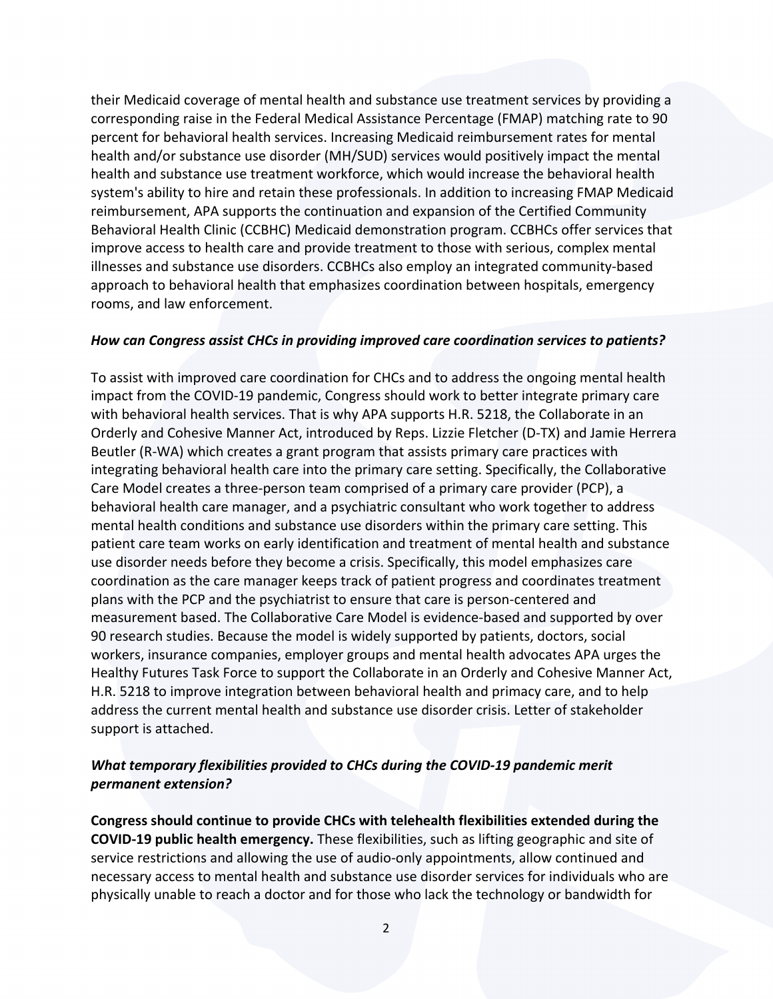their Medicaid coverage of mental health and substance use treatment services by providing a corresponding raise in the Federal Medical Assistance Percentage (FMAP) matching rate to 90 percent for behavioral health services. Increasing Medicaid reimbursement rates for mental health and/or substance use disorder (MH/SUD) services would positively impact the mental health and substance use treatment workforce, which would increase the behavioral health system's ability to hire and retain these professionals. In addition to increasing FMAP Medicaid reimbursement, APA supports the continuation and expansion of the Certified Community Behavioral Health Clinic (CCBHC) Medicaid demonstration program. CCBHCs offer services that improve access to health care and provide treatment to those with serious, complex mental illnesses and substance use disorders. CCBHCs also employ an integrated community-based approach to behavioral health that emphasizes coordination between hospitals, emergency rooms, and law enforcement.

#### *How can Congress assist CHCs in providing improved care coordination services to patients?*

To assist with improved care coordination for CHCs and to address the ongoing mental health impact from the COVID-19 pandemic, Congress should work to better integrate primary care with behavioral health services. That is why APA supports H.R. 5218, the Collaborate in an Orderly and Cohesive Manner Act, introduced by Reps. Lizzie Fletcher (D-TX) and Jamie Herrera Beutler (R-WA) which creates a grant program that assists primary care practices with integrating behavioral health care into the primary care setting. Specifically, the Collaborative Care Model creates a three-person team comprised of a primary care provider (PCP), a behavioral health care manager, and a psychiatric consultant who work together to address mental health conditions and substance use disorders within the primary care setting. This patient care team works on early identification and treatment of mental health and substance use disorder needs before they become a crisis. Specifically, this model emphasizes care coordination as the care manager keeps track of patient progress and coordinates treatment plans with the PCP and the psychiatrist to ensure that care is person-centered and measurement based. The Collaborative Care Model is evidence-based and supported by over 90 research studies. Because the model is widely supported by patients, doctors, social workers, insurance companies, employer groups and mental health advocates APA urges the Healthy Futures Task Force to support the Collaborate in an Orderly and Cohesive Manner Act, H.R. 5218 to improve integration between behavioral health and primacy care, and to help address the current mental health and substance use disorder crisis. Letter of stakeholder support is attached.

## *What temporary flexibilities provided to CHCs during the COVID-19 pandemic merit permanent extension?*

**Congress should continue to provide CHCs with telehealth flexibilities extended during the COVID-19 public health emergency.** These flexibilities, such as lifting geographic and site of service restrictions and allowing the use of audio-only appointments, allow continued and necessary access to mental health and substance use disorder services for individuals who are physically unable to reach a doctor and for those who lack the technology or bandwidth for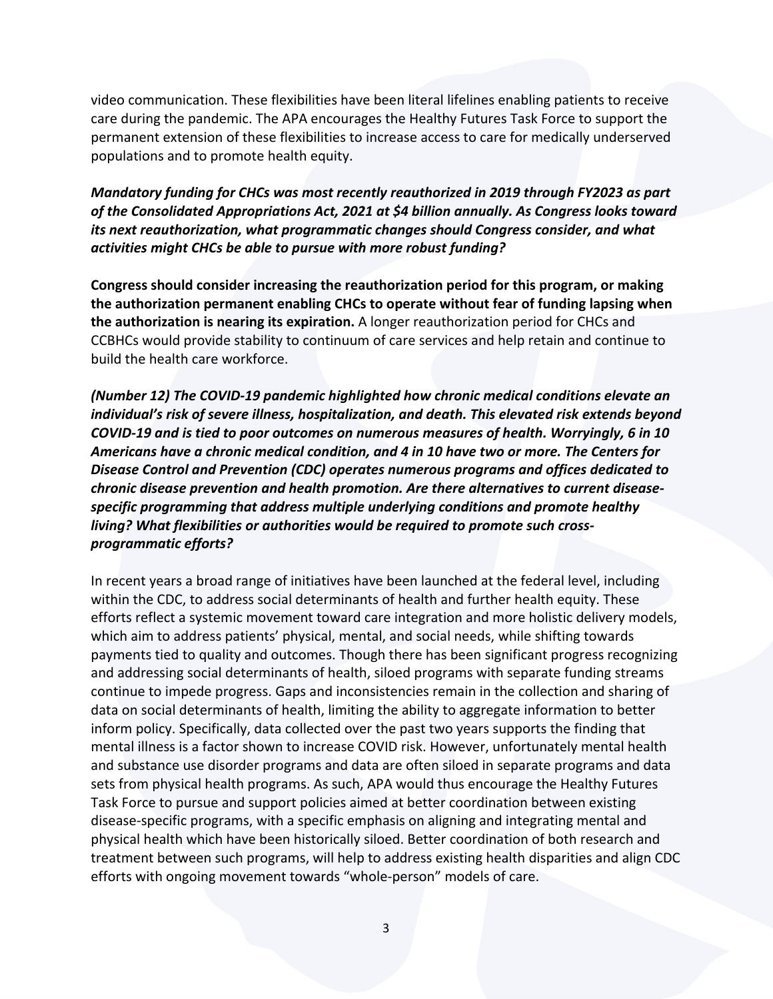video communication. These flexibilities have been literal lifelines enabling patients to receive care during the pandemic. The APA encourages the Healthy Futures Task Force to support the permanent extension of these flexibilities to increase access to care for medically underserved populations and to promote health equity.

*Mandatory funding for CHCs was most recently reauthorized in 2019 through FY2023 as part of the Consolidated Appropriations Act, 2021 at \$4 billion annually. As Congress looks toward its next reauthorization, what programmatic changes should Congress consider, and what activities might CHCs be able to pursue with more robust funding?* 

**Congress should consider increasing the reauthorization period for this program, or making the authorization permanent enabling CHCs to operate without fear of funding lapsing when the authorization is nearing its expiration.** A longer reauthorization period for CHCs and CCBHCs would provide stability to continuum of care services and help retain and continue to build the health care workforce.

*(Number 12) The COVID-19 pandemic highlighted how chronic medical conditions elevate an individual's risk of severe illness, hospitalization, and death. This elevated risk extends beyond COVID-19 and is tied to poor outcomes on numerous measures of health. Worryingly, 6 in 10 Americans have a chronic medical condition, and 4 in 10 have two or more. The Centers for Disease Control and Prevention (CDC) operates numerous programs and offices dedicated to chronic disease prevention and health promotion. Are there alternatives to current diseasespecific programming that address multiple underlying conditions and promote healthy living? What flexibilities or authorities would be required to promote such crossprogrammatic efforts?*

In recent years a broad range of initiatives have been launched at the federal level, including within the CDC, to address social determinants of health and further health equity. These efforts reflect a systemic movement toward care integration and more holistic delivery models, which aim to address patients' physical, mental, and social needs, while shifting towards payments tied to quality and outcomes. Though there has been significant progress recognizing and addressing social determinants of health, siloed programs with separate funding streams continue to impede progress. Gaps and inconsistencies remain in the collection and sharing of data on social determinants of health, limiting the ability to aggregate information to better inform policy. Specifically, data collected over the past two years supports the finding that mental illness is a factor shown to increase COVID risk. However, unfortunately mental health and substance use disorder programs and data are often siloed in separate programs and data sets from physical health programs. As such, APA would thus encourage the Healthy Futures Task Force to pursue and support policies aimed at better coordination between existing disease-specific programs, with a specific emphasis on aligning and integrating mental and physical health which have been historically siloed. Better coordination of both research and treatment between such programs, will help to address existing health disparities and align CDC efforts with ongoing movement towards "whole-person" models of care.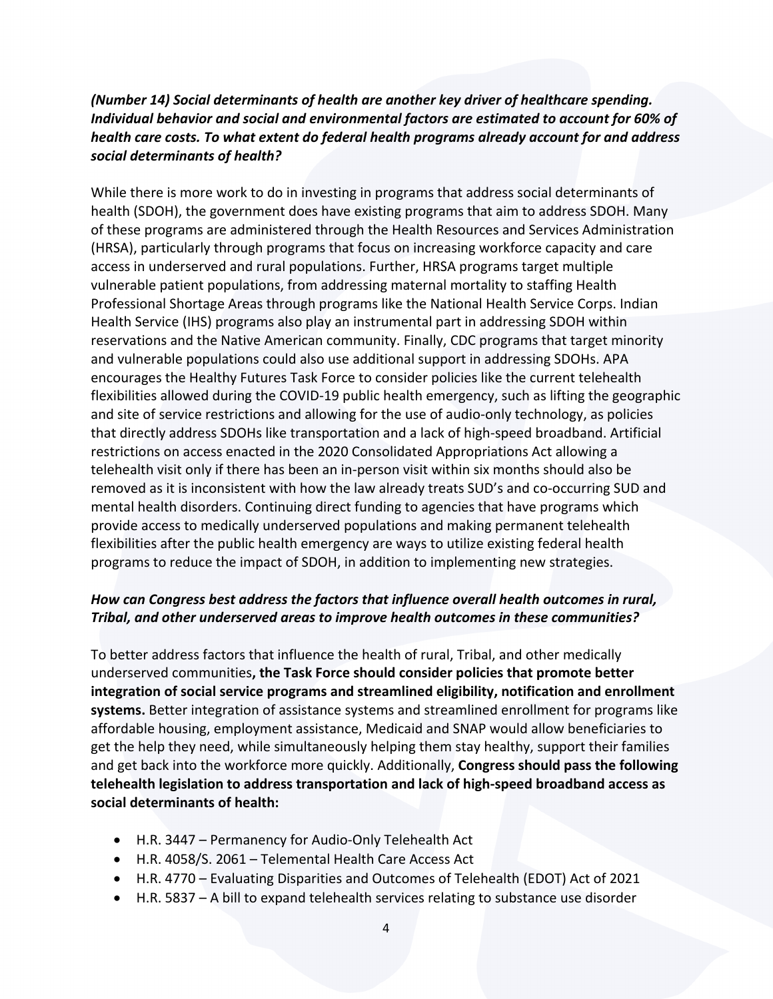# *(Number 14) Social determinants of health are another key driver of healthcare spending. Individual behavior and social and environmental factors are estimated to account for 60% of health care costs. To what extent do federal health programs already account for and address social determinants of health?*

While there is more work to do in investing in programs that address social determinants of health (SDOH), the government does have existing programs that aim to address SDOH. Many of these programs are administered through the Health Resources and Services Administration (HRSA), particularly through programs that focus on increasing workforce capacity and care access in underserved and rural populations. Further, HRSA programs target multiple vulnerable patient populations, from addressing maternal mortality to staffing Health Professional Shortage Areas through programs like the National Health Service Corps. Indian Health Service (IHS) programs also play an instrumental part in addressing SDOH within reservations and the Native American community. Finally, CDC programs that target minority and vulnerable populations could also use additional support in addressing SDOHs. APA encourages the Healthy Futures Task Force to consider policies like the current telehealth flexibilities allowed during the COVID-19 public health emergency, such as lifting the geographic and site of service restrictions and allowing for the use of audio-only technology, as policies that directly address SDOHs like transportation and a lack of high-speed broadband. Artificial restrictions on access enacted in the 2020 Consolidated Appropriations Act allowing a telehealth visit only if there has been an in-person visit within six months should also be removed as it is inconsistent with how the law already treats SUD's and co-occurring SUD and mental health disorders. Continuing direct funding to agencies that have programs which provide access to medically underserved populations and making permanent telehealth flexibilities after the public health emergency are ways to utilize existing federal health programs to reduce the impact of SDOH, in addition to implementing new strategies.

## *How can Congress best address the factors that influence overall health outcomes in rural, Tribal, and other underserved areas to improve health outcomes in these communities?*

To better address factors that influence the health of rural, Tribal, and other medically underserved communities**, the Task Force should consider policies that promote better integration of social service programs and streamlined eligibility, notification and enrollment systems.** Better integration of assistance systems and streamlined enrollment for programs like affordable housing, employment assistance, Medicaid and SNAP would allow beneficiaries to get the help they need, while simultaneously helping them stay healthy, support their families and get back into the workforce more quickly. Additionally, **Congress should pass the following telehealth legislation to address transportation and lack of high-speed broadband access as social determinants of health:**

- H.R. 3447 Permanency for Audio-Only Telehealth Act
- H.R. 4058/S. 2061 Telemental Health Care Access Act
- H.R. 4770 Evaluating Disparities and Outcomes of Telehealth (EDOT) Act of 2021
- H.R. 5837 A bill to expand telehealth services relating to substance use disorder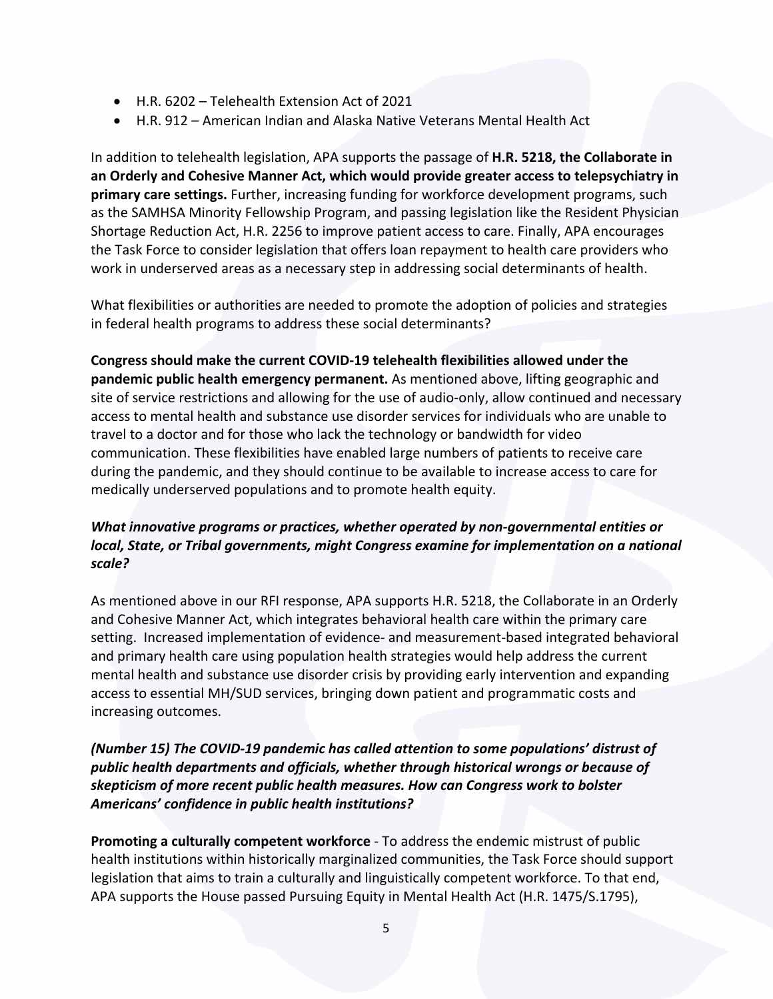- H.R. 6202 Telehealth Extension Act of 2021
- H.R. 912 American Indian and Alaska Native Veterans Mental Health Act

In addition to telehealth legislation, APA supports the passage of **H.R. 5218, the Collaborate in an Orderly and Cohesive Manner Act, which would provide greater access to telepsychiatry in primary care settings.** Further, increasing funding for workforce development programs, such as the SAMHSA Minority Fellowship Program, and passing legislation like the Resident Physician Shortage Reduction Act, H.R. 2256 to improve patient access to care. Finally, APA encourages the Task Force to consider legislation that offers loan repayment to health care providers who work in underserved areas as a necessary step in addressing social determinants of health.

What flexibilities or authorities are needed to promote the adoption of policies and strategies in federal health programs to address these social determinants?

**Congress should make the current COVID-19 telehealth flexibilities allowed under the pandemic public health emergency permanent.** As mentioned above, lifting geographic and site of service restrictions and allowing for the use of audio-only, allow continued and necessary access to mental health and substance use disorder services for individuals who are unable to travel to a doctor and for those who lack the technology or bandwidth for video communication. These flexibilities have enabled large numbers of patients to receive care during the pandemic, and they should continue to be available to increase access to care for medically underserved populations and to promote health equity.

# *What innovative programs or practices, whether operated by non-governmental entities or local, State, or Tribal governments, might Congress examine for implementation on a national scale?*

As mentioned above in our RFI response, APA supports H.R. 5218, the Collaborate in an Orderly and Cohesive Manner Act, which integrates behavioral health care within the primary care setting. Increased implementation of evidence- and measurement-based integrated behavioral and primary health care using population health strategies would help address the current mental health and substance use disorder crisis by providing early intervention and expanding access to essential MH/SUD services, bringing down patient and programmatic costs and increasing outcomes.

# *(Number 15) The COVID-19 pandemic has called attention to some populations' distrust of public health departments and officials, whether through historical wrongs or because of skepticism of more recent public health measures. How can Congress work to bolster Americans' confidence in public health institutions?*

**Promoting a culturally competent workforce** - To address the endemic mistrust of public health institutions within historically marginalized communities, the Task Force should support legislation that aims to train a culturally and linguistically competent workforce. To that end, APA supports the House passed Pursuing Equity in Mental Health Act (H.R. 1475/S.1795),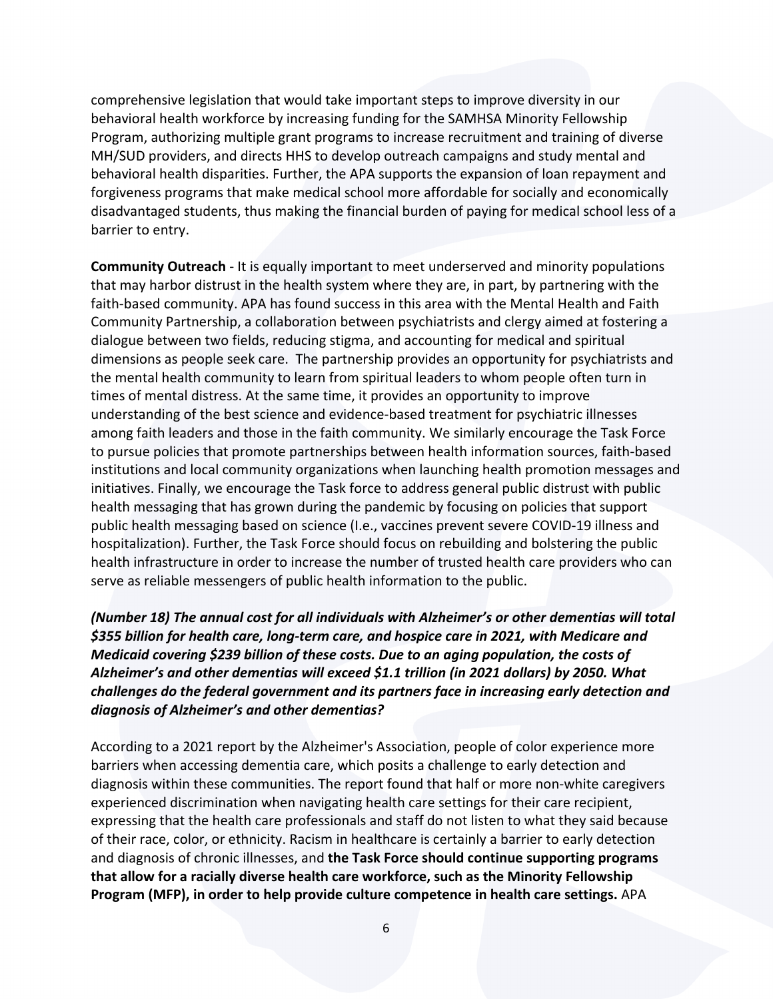comprehensive legislation that would take important steps to improve diversity in our behavioral health workforce by increasing funding for the SAMHSA Minority Fellowship Program, authorizing multiple grant programs to increase recruitment and training of diverse MH/SUD providers, and directs HHS to develop outreach campaigns and study mental and behavioral health disparities. Further, the APA supports the expansion of loan repayment and forgiveness programs that make medical school more affordable for socially and economically disadvantaged students, thus making the financial burden of paying for medical school less of a barrier to entry.

**Community Outreach** - It is equally important to meet underserved and minority populations that may harbor distrust in the health system where they are, in part, by partnering with the faith-based community. APA has found success in this area with the Mental Health and Faith Community Partnership, a collaboration between psychiatrists and clergy aimed at fostering a dialogue between two fields, reducing stigma, and accounting for medical and spiritual dimensions as people seek care. The partnership provides an opportunity for psychiatrists and the mental health community to learn from spiritual leaders to whom people often turn in times of mental distress. At the same time, it provides an opportunity to improve understanding of the best science and evidence-based treatment for psychiatric illnesses among faith leaders and those in the faith community. We similarly encourage the Task Force to pursue policies that promote partnerships between health information sources, faith-based institutions and local community organizations when launching health promotion messages and initiatives. Finally, we encourage the Task force to address general public distrust with public health messaging that has grown during the pandemic by focusing on policies that support public health messaging based on science (I.e., vaccines prevent severe COVID-19 illness and hospitalization). Further, the Task Force should focus on rebuilding and bolstering the public health infrastructure in order to increase the number of trusted health care providers who can serve as reliable messengers of public health information to the public.

*(Number 18) The annual cost for all individuals with Alzheimer's or other dementias will total \$355 billion for health care, long-term care, and hospice care in 2021, with Medicare and Medicaid covering \$239 billion of these costs. Due to an aging population, the costs of Alzheimer's and other dementias will exceed \$1.1 trillion (in 2021 dollars) by 2050. What challenges do the federal government and its partners face in increasing early detection and diagnosis of Alzheimer's and other dementias?* 

According to a 2021 report by the Alzheimer's Association, people of color experience more barriers when accessing dementia care, which posits a challenge to early detection and diagnosis within these communities. The report found that half or more non-white caregivers experienced discrimination when navigating health care settings for their care recipient, expressing that the health care professionals and staff do not listen to what they said because of their race, color, or ethnicity. Racism in healthcare is certainly a barrier to early detection and diagnosis of chronic illnesses, and **the Task Force should continue supporting programs that allow for a racially diverse health care workforce, such as the Minority Fellowship Program (MFP), in order to help provide culture competence in health care settings.** APA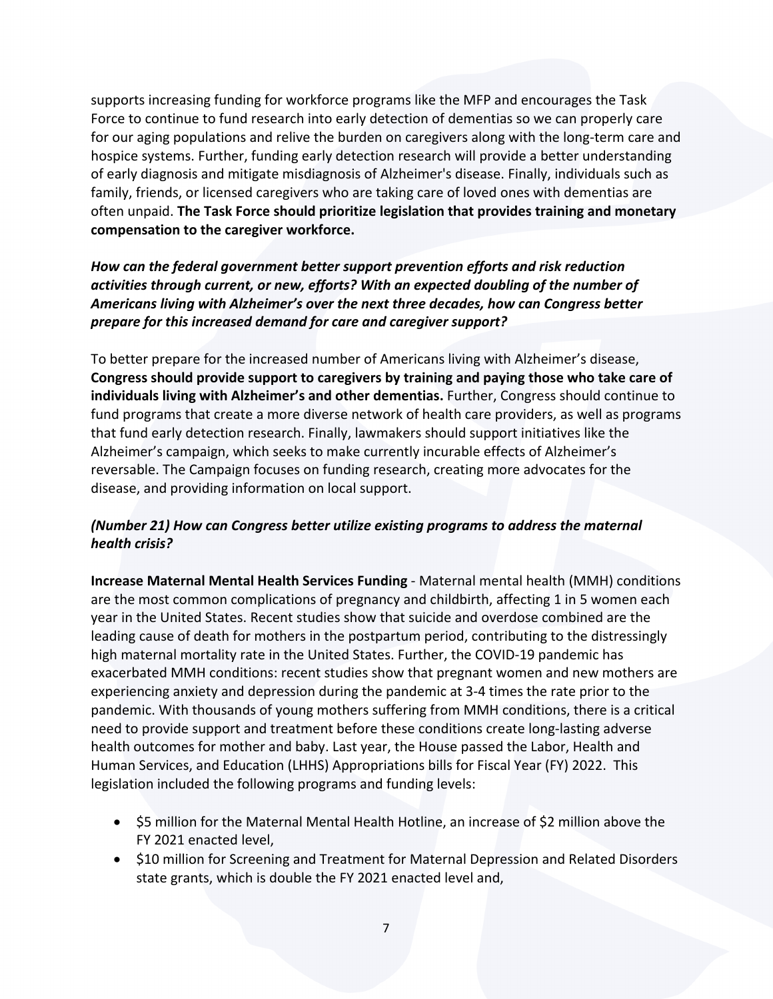supports increasing funding for workforce programs like the MFP and encourages the Task Force to continue to fund research into early detection of dementias so we can properly care for our aging populations and relive the burden on caregivers along with the long-term care and hospice systems. Further, funding early detection research will provide a better understanding of early diagnosis and mitigate misdiagnosis of Alzheimer's disease. Finally, individuals such as family, friends, or licensed caregivers who are taking care of loved ones with dementias are often unpaid. **The Task Force should prioritize legislation that provides training and monetary compensation to the caregiver workforce.** 

# *How can the federal government better support prevention efforts and risk reduction activities through current, or new, efforts? With an expected doubling of the number of Americans living with Alzheimer's over the next three decades, how can Congress better prepare for this increased demand for care and caregiver support?*

To better prepare for the increased number of Americans living with Alzheimer's disease, **Congress should provide support to caregivers by training and paying those who take care of individuals living with Alzheimer's and other dementias.** Further, Congress should continue to fund programs that create a more diverse network of health care providers, as well as programs that fund early detection research. Finally, lawmakers should support initiatives like the Alzheimer's campaign, which seeks to make currently incurable effects of Alzheimer's reversable. The Campaign focuses on funding research, creating more advocates for the disease, and providing information on local support.

# *(Number 21) How can Congress better utilize existing programs to address the maternal health crisis?*

**Increase Maternal Mental Health Services Funding** - Maternal mental health (MMH) conditions are the most common complications of pregnancy and childbirth, affecting 1 in 5 women each year in the United States. Recent studies show that suicide and overdose combined are the leading cause of death for mothers in the postpartum period, contributing to the distressingly high maternal mortality rate in the United States. Further, the COVID-19 pandemic has exacerbated MMH conditions: recent studies show that pregnant women and new mothers are experiencing anxiety and depression during the pandemic at 3-4 times the rate prior to the pandemic. With thousands of young mothers suffering from MMH conditions, there is a critical need to provide support and treatment before these conditions create long-lasting adverse health outcomes for mother and baby. Last year, the House passed the Labor, Health and Human Services, and Education (LHHS) Appropriations bills for Fiscal Year (FY) 2022. This legislation included the following programs and funding levels:

- \$5 million for the Maternal Mental Health Hotline, an increase of \$2 million above the FY 2021 enacted level,
- \$10 million for Screening and Treatment for Maternal Depression and Related Disorders state grants, which is double the FY 2021 enacted level and,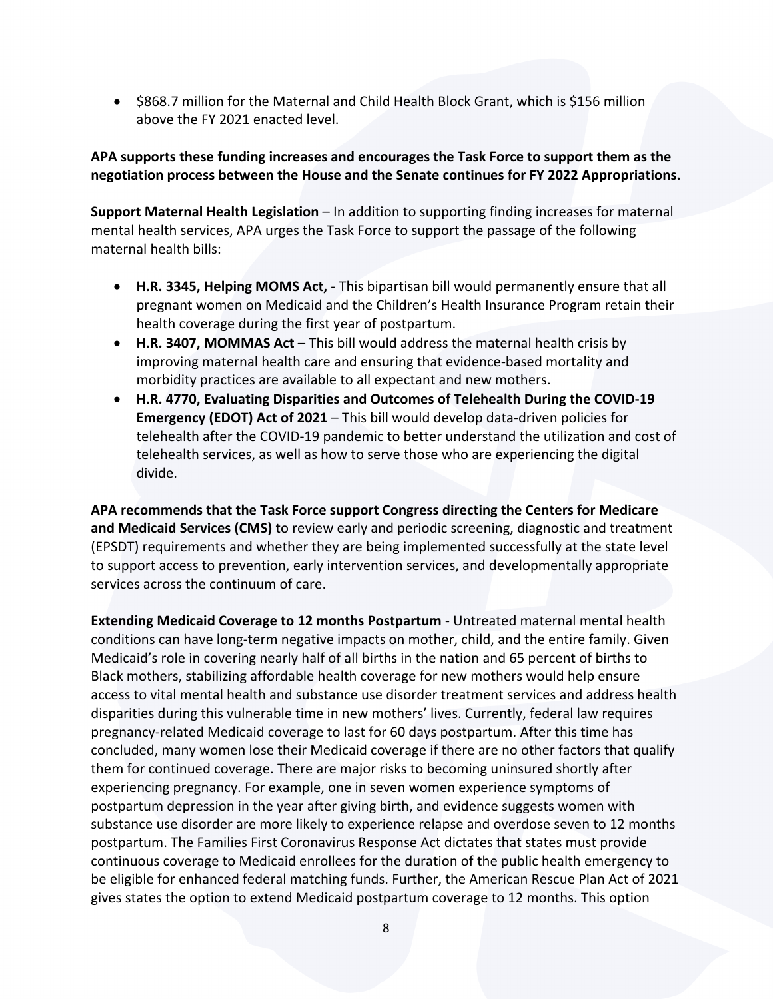• \$868.7 million for the Maternal and Child Health Block Grant, which is \$156 million above the FY 2021 enacted level.

#### **APA supports these funding increases and encourages the Task Force to support them as the negotiation process between the House and the Senate continues for FY 2022 Appropriations.**

**Support Maternal Health Legislation** – In addition to supporting finding increases for maternal mental health services, APA urges the Task Force to support the passage of the following maternal health bills:

- **H.R. 3345, Helping MOMS Act,** This bipartisan bill would permanently ensure that all pregnant women on Medicaid and the Children's Health Insurance Program retain their health coverage during the first year of postpartum.
- **H.R. 3407, MOMMAS Act** This bill would address the maternal health crisis by improving maternal health care and ensuring that evidence-based mortality and morbidity practices are available to all expectant and new mothers.
- **H.R. 4770, Evaluating Disparities and Outcomes of Telehealth During the COVID-19 Emergency (EDOT) Act of 2021** – This bill would develop data-driven policies for telehealth after the COVID-19 pandemic to better understand the utilization and cost of telehealth services, as well as how to serve those who are experiencing the digital divide.

**APA recommends that the Task Force support Congress directing the Centers for Medicare and Medicaid Services (CMS)** to review early and periodic screening, diagnostic and treatment (EPSDT) requirements and whether they are being implemented successfully at the state level to support access to prevention, early intervention services, and developmentally appropriate services across the continuum of care.

**Extending Medicaid Coverage to 12 months Postpartum** - Untreated maternal mental health conditions can have long-term negative impacts on mother, child, and the entire family. Given Medicaid's role in covering nearly half of all births in the nation and 65 percent of births to Black mothers, stabilizing affordable health coverage for new mothers would help ensure access to vital mental health and substance use disorder treatment services and address health disparities during this vulnerable time in new mothers' lives. Currently, federal law requires pregnancy-related Medicaid coverage to last for 60 days postpartum. After this time has concluded, many women lose their Medicaid coverage if there are no other factors that qualify them for continued coverage. There are major risks to becoming uninsured shortly after experiencing pregnancy. For example, one in seven women experience symptoms of postpartum depression in the year after giving birth, and evidence suggests women with substance use disorder are more likely to experience relapse and overdose seven to 12 months postpartum. The Families First Coronavirus Response Act dictates that states must provide continuous coverage to Medicaid enrollees for the duration of the public health emergency to be eligible for enhanced federal matching funds. Further, the American Rescue Plan Act of 2021 gives states the option to extend Medicaid postpartum coverage to 12 months. This option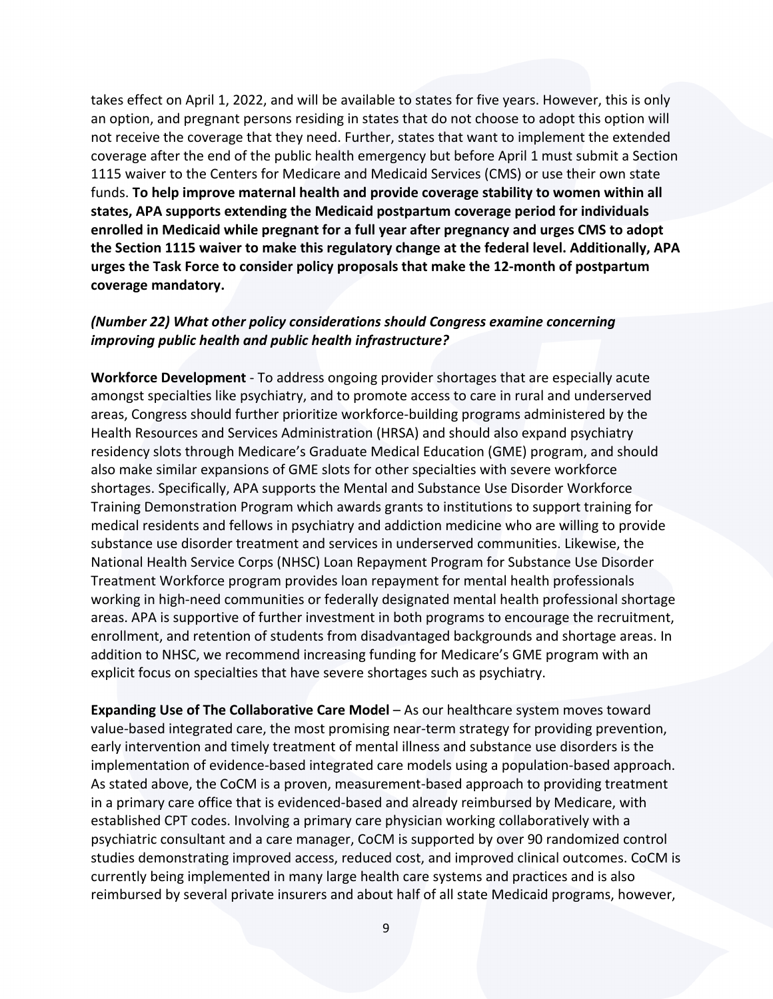takes effect on April 1, 2022, and will be available to states for five years. However, this is only an option, and pregnant persons residing in states that do not choose to adopt this option will not receive the coverage that they need. Further, states that want to implement the extended coverage after the end of the public health emergency but before April 1 must submit a Section 1115 waiver to the Centers for Medicare and Medicaid Services (CMS) or use their own state funds. **To help improve maternal health and provide coverage stability to women within all states, APA supports extending the Medicaid postpartum coverage period for individuals enrolled in Medicaid while pregnant for a full year after pregnancy and urges CMS to adopt the Section 1115 waiver to make this regulatory change at the federal level. Additionally, APA urges the Task Force to consider policy proposals that make the 12-month of postpartum coverage mandatory.**

#### *(Number 22) What other policy considerations should Congress examine concerning improving public health and public health infrastructure?*

**Workforce Development** - To address ongoing provider shortages that are especially acute amongst specialties like psychiatry, and to promote access to care in rural and underserved areas, Congress should further prioritize workforce-building programs administered by the Health Resources and Services Administration (HRSA) and should also expand psychiatry residency slots through Medicare's Graduate Medical Education (GME) program, and should also make similar expansions of GME slots for other specialties with severe workforce shortages. Specifically, APA supports the Mental and Substance Use Disorder Workforce Training Demonstration Program which awards grants to institutions to support training for medical residents and fellows in psychiatry and addiction medicine who are willing to provide substance use disorder treatment and services in underserved communities. Likewise, the National Health Service Corps (NHSC) Loan Repayment Program for Substance Use Disorder Treatment Workforce program provides loan repayment for mental health professionals working in high-need communities or federally designated mental health professional shortage areas. APA is supportive of further investment in both programs to encourage the recruitment, enrollment, and retention of students from disadvantaged backgrounds and shortage areas. In addition to NHSC, we recommend increasing funding for Medicare's GME program with an explicit focus on specialties that have severe shortages such as psychiatry.

**Expanding Use of The Collaborative Care Model** – As our healthcare system moves toward value-based integrated care, the most promising near-term strategy for providing prevention, early intervention and timely treatment of mental illness and substance use disorders is the implementation of evidence-based integrated care models using a population-based approach. As stated above, the CoCM is a proven, measurement-based approach to providing treatment in a primary care office that is evidenced-based and already reimbursed by Medicare, with established CPT codes. Involving a primary care physician working collaboratively with a psychiatric consultant and a care manager, CoCM is supported by over 90 randomized control studies demonstrating improved access, reduced cost, and improved clinical outcomes. CoCM is currently being implemented in many large health care systems and practices and is also reimbursed by several private insurers and about half of all state Medicaid programs, however,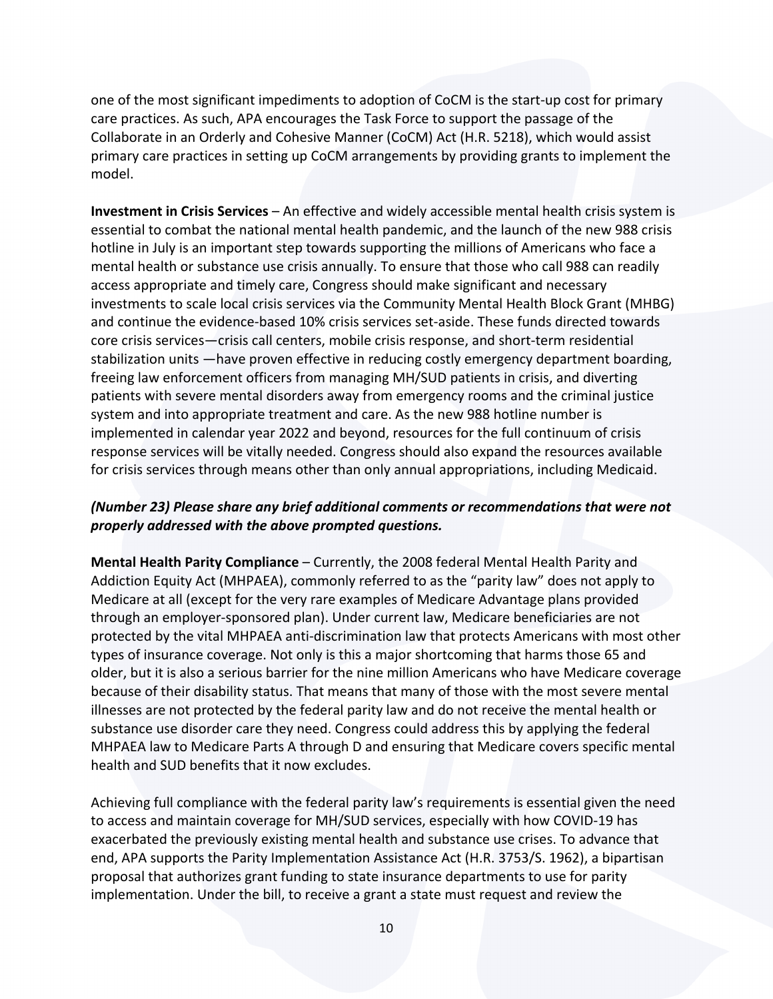one of the most significant impediments to adoption of CoCM is the start-up cost for primary care practices. As such, APA encourages the Task Force to support the passage of the Collaborate in an Orderly and Cohesive Manner (CoCM) Act (H.R. 5218), which would assist primary care practices in setting up CoCM arrangements by providing grants to implement the model.

**Investment in Crisis Services** – An effective and widely accessible mental health crisis system is essential to combat the national mental health pandemic, and the launch of the new 988 crisis hotline in July is an important step towards supporting the millions of Americans who face a mental health or substance use crisis annually. To ensure that those who call 988 can readily access appropriate and timely care, Congress should make significant and necessary investments to scale local crisis services via the Community Mental Health Block Grant (MHBG) and continue the evidence-based 10% crisis services set-aside. These funds directed towards core crisis services—crisis call centers, mobile crisis response, and short-term residential stabilization units —have proven effective in reducing costly emergency department boarding, freeing law enforcement officers from managing MH/SUD patients in crisis, and diverting patients with severe mental disorders away from emergency rooms and the criminal justice system and into appropriate treatment and care. As the new 988 hotline number is implemented in calendar year 2022 and beyond, resources for the full continuum of crisis response services will be vitally needed. Congress should also expand the resources available for crisis services through means other than only annual appropriations, including Medicaid.

## *(Number 23) Please share any brief additional comments or recommendations that were not properly addressed with the above prompted questions.*

**Mental Health Parity Compliance** – Currently, the 2008 federal Mental Health Parity and Addiction Equity Act (MHPAEA), commonly referred to as the "parity law" does not apply to Medicare at all (except for the very rare examples of Medicare Advantage plans provided through an employer-sponsored plan). Under current law, Medicare beneficiaries are not protected by the vital MHPAEA anti-discrimination law that protects Americans with most other types of insurance coverage. Not only is this a major shortcoming that harms those 65 and older, but it is also a serious barrier for the nine million Americans who have Medicare coverage because of their disability status. That means that many of those with the most severe mental illnesses are not protected by the federal parity law and do not receive the mental health or substance use disorder care they need. Congress could address this by applying the federal MHPAEA law to Medicare Parts A through D and ensuring that Medicare covers specific mental health and SUD benefits that it now excludes.

Achieving full compliance with the federal parity law's requirements is essential given the need to access and maintain coverage for MH/SUD services, especially with how COVID-19 has exacerbated the previously existing mental health and substance use crises. To advance that end, APA supports the Parity Implementation Assistance Act (H.R. 3753/S. 1962), a bipartisan proposal that authorizes grant funding to state insurance departments to use for parity implementation. Under the bill, to receive a grant a state must request and review the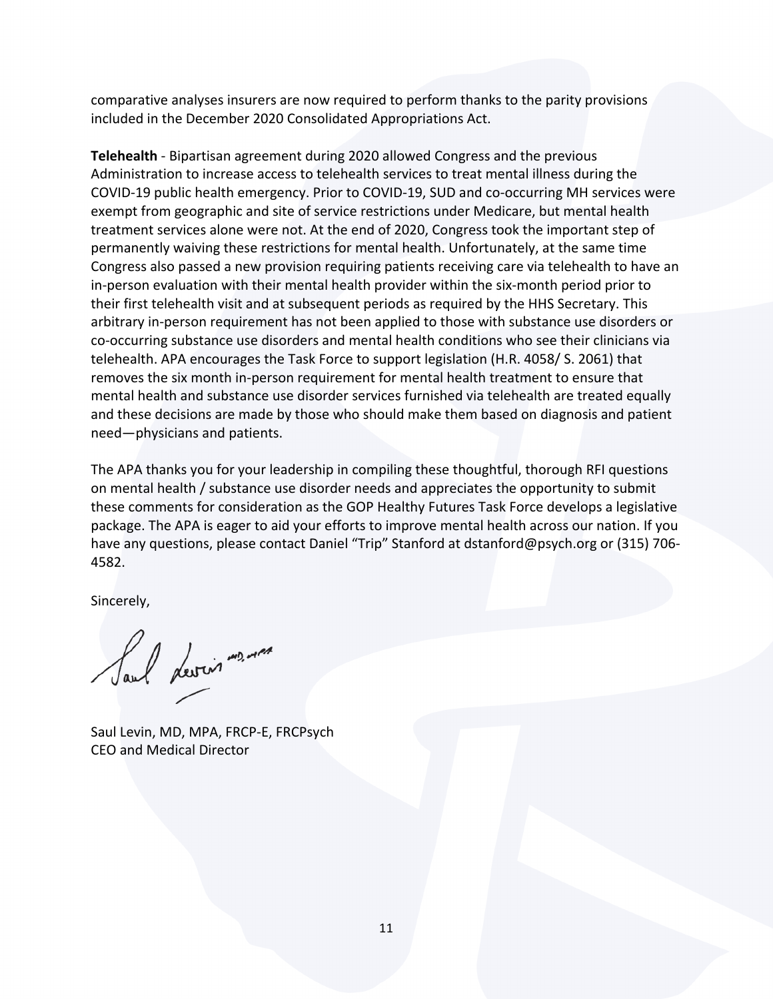comparative analyses insurers are now required to perform thanks to the parity provisions included in the December 2020 Consolidated Appropriations Act.

**Telehealth** - Bipartisan agreement during 2020 allowed Congress and the previous Administration to increase access to telehealth services to treat mental illness during the COVID-19 public health emergency. Prior to COVID-19, SUD and co-occurring MH services were exempt from geographic and site of service restrictions under Medicare, but mental health treatment services alone were not. At the end of 2020, Congress took the important step of permanently waiving these restrictions for mental health. Unfortunately, at the same time Congress also passed a new provision requiring patients receiving care via telehealth to have an in-person evaluation with their mental health provider within the six-month period prior to their first telehealth visit and at subsequent periods as required by the HHS Secretary. This arbitrary in-person requirement has not been applied to those with substance use disorders or co-occurring substance use disorders and mental health conditions who see their clinicians via telehealth. APA encourages the Task Force to support legislation (H.R. 4058/ S. 2061) that removes the six month in-person requirement for mental health treatment to ensure that mental health and substance use disorder services furnished via telehealth are treated equally and these decisions are made by those who should make them based on diagnosis and patient need—physicians and patients.

The APA thanks you for your leadership in compiling these thoughtful, thorough RFI questions on mental health / substance use disorder needs and appreciates the opportunity to submit these comments for consideration as the GOP Healthy Futures Task Force develops a legislative package. The APA is eager to aid your efforts to improve mental health across our nation. If you have any questions, please contact Daniel "Trip" Stanford at dstanford@psych.org or (315) 706- 4582.

Sincerely,

Saul devision ....

Saul Levin, MD, MPA, FRCP-E, FRCPsych CEO and Medical Director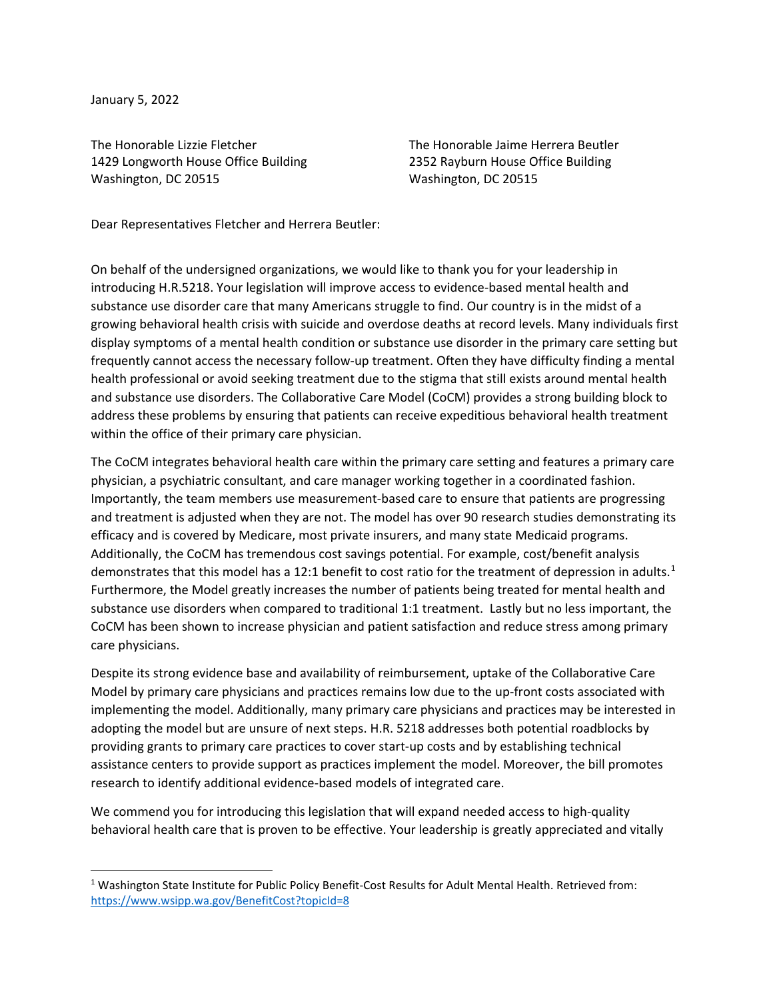January 5, 2022

The Honorable Lizzie Fletcher The The Honorable Jaime Herrera Beutler 1429 Longworth House Office Building 2352 Rayburn House Office Building Washington, DC 20515 Washington, DC 20515

Dear Representatives Fletcher and Herrera Beutler:

On behalf of the undersigned organizations, we would like to thank you for your leadership in introducing H.R.5218. Your legislation will improve access to evidence-based mental health and substance use disorder care that many Americans struggle to find. Our country is in the midst of a growing behavioral health crisis with suicide and overdose deaths at record levels. Many individuals first display symptoms of a mental health condition or substance use disorder in the primary care setting but frequently cannot access the necessary follow-up treatment. Often they have difficulty finding a mental health professional or avoid seeking treatment due to the stigma that still exists around mental health and substance use disorders. The Collaborative Care Model (CoCM) provides a strong building block to address these problems by ensuring that patients can receive expeditious behavioral health treatment within the office of their primary care physician.

The CoCM integrates behavioral health care within the primary care setting and features a primary care physician, a psychiatric consultant, and care manager working together in a coordinated fashion. Importantly, the team members use measurement-based care to ensure that patients are progressing and treatment is adjusted when they are not. The model has over 90 research studies demonstrating its efficacy and is covered by Medicare, most private insurers, and many state Medicaid programs. Additionally, the CoCM has tremendous cost savings potential. For example, cost/benefit analysis demonstrates that this model has a [1](#page-11-0)2:1 benefit to cost ratio for the treatment of depression in adults.<sup>1</sup> Furthermore, the Model greatly increases the number of patients being treated for mental health and substance use disorders when compared to traditional 1:1 treatment. Lastly but no less important, the CoCM has been shown to increase physician and patient satisfaction and reduce stress among primary care physicians.

Despite its strong evidence base and availability of reimbursement, uptake of the Collaborative Care Model by primary care physicians and practices remains low due to the up-front costs associated with implementing the model. Additionally, many primary care physicians and practices may be interested in adopting the model but are unsure of next steps. H.R. 5218 addresses both potential roadblocks by providing grants to primary care practices to cover start-up costs and by establishing technical assistance centers to provide support as practices implement the model. Moreover, the bill promotes research to identify additional evidence-based models of integrated care.

We commend you for introducing this legislation that will expand needed access to high-quality behavioral health care that is proven to be effective. Your leadership is greatly appreciated and vitally

<span id="page-11-0"></span><sup>&</sup>lt;sup>1</sup> Washington State Institute for Public Policy Benefit-Cost Results for Adult Mental Health. Retrieved from: <https://www.wsipp.wa.gov/BenefitCost?topicId=8>